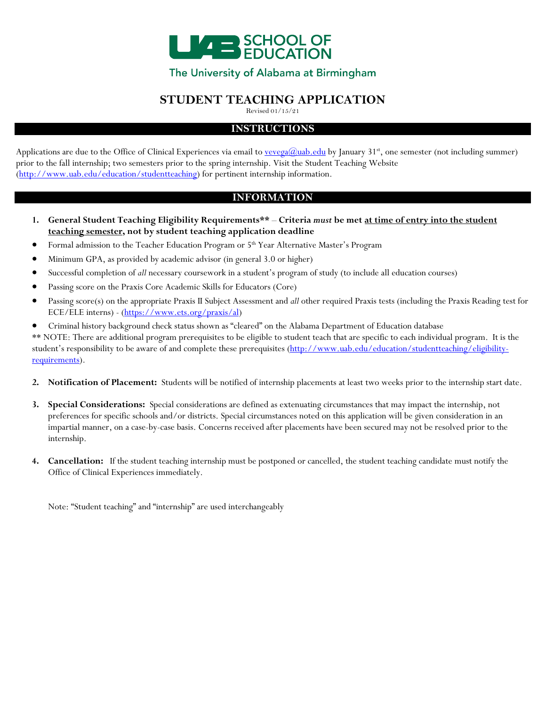

## The University of Alabama at Birmingham

## **STUDENT TEACHING APPLICATION**

Revised 01/15/21

### **INSTRUCTIONS**

Applications are due to the Office of Clinical Experiences via email to [vevega@uab.edu](mailto:vevega@uab.edu) by January 31<sup>st</sup>, one semester (not including summer) prior to the fall internship; two semesters prior to the spring internship. Visit the Student Teaching Website [\(http://www.uab.edu/education/studentteaching\)](http://www.uab.edu/education/studentteaching) for pertinent internship information.

## **INFORMATION**

- **1. General Student Teaching Eligibility Requirements\*\* Criteria** *must* **be met at time of entry into the student teaching semester, not by student teaching application deadline**
- Formal admission to the Teacher Education Program or 5th Year Alternative Master's Program
- Minimum GPA, as provided by academic advisor (in general 3.0 or higher)
- Successful completion of *all* necessary coursework in a student's program of study (to include all education courses)
- Passing score on the Praxis Core Academic Skills for Educators (Core)
- Passing score(s) on the appropriate Praxis II Subject Assessment and *all* other required Praxis tests (including the Praxis Reading test for ECE/ELE interns) - [\(https://www.ets.org/praxis/al\)](https://www.ets.org/praxis/al)
- Criminal history background check status shown as "cleared" on the Alabama Department of Education database

\*\* NOTE: There are additional program prerequisites to be eligible to student teach that are specific to each individual program. It is the student's responsibility to be aware of and complete these prerequisites [\(http://www.uab.edu/education/studentteaching/eligibility](http://www.uab.edu/education/studentteaching/eligibility-requirements)[requirements\)](http://www.uab.edu/education/studentteaching/eligibility-requirements).

- **2. Notification of Placement:** Students will be notified of internship placements at least two weeks prior to the internship start date.
- **3. Special Considerations:** Special considerations are defined as extenuating circumstances that may impact the internship, not preferences for specific schools and/or districts. Special circumstances noted on this application will be given consideration in an impartial manner, on a case-by-case basis. Concerns received after placements have been secured may not be resolved prior to the internship.
- **4. Cancellation:** If the student teaching internship must be postponed or cancelled, the student teaching candidate must notify the Office of Clinical Experiences immediately.

Note: "Student teaching" and "internship" are used interchangeably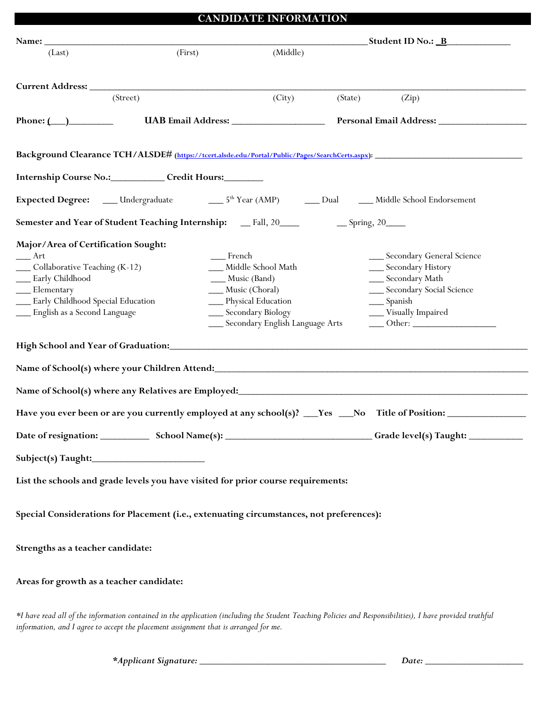## **CANDIDATE INFORMATION**

|                                                                                                                                                                                         |                                                                                          |                                                                                                                                                  | _______________________Student ID No.: <u>_B_______________</u>                                                                                                                                                                                                                                                                                                                                                                                                                                                                                                                                             |
|-----------------------------------------------------------------------------------------------------------------------------------------------------------------------------------------|------------------------------------------------------------------------------------------|--------------------------------------------------------------------------------------------------------------------------------------------------|-------------------------------------------------------------------------------------------------------------------------------------------------------------------------------------------------------------------------------------------------------------------------------------------------------------------------------------------------------------------------------------------------------------------------------------------------------------------------------------------------------------------------------------------------------------------------------------------------------------|
| (Last)                                                                                                                                                                                  | (First)                                                                                  | (Middle)                                                                                                                                         |                                                                                                                                                                                                                                                                                                                                                                                                                                                                                                                                                                                                             |
|                                                                                                                                                                                         |                                                                                          |                                                                                                                                                  |                                                                                                                                                                                                                                                                                                                                                                                                                                                                                                                                                                                                             |
|                                                                                                                                                                                         | (Street)                                                                                 | (City)                                                                                                                                           | (State)<br>(Zip)                                                                                                                                                                                                                                                                                                                                                                                                                                                                                                                                                                                            |
| Phone: $\qquad \qquad$                                                                                                                                                                  |                                                                                          |                                                                                                                                                  |                                                                                                                                                                                                                                                                                                                                                                                                                                                                                                                                                                                                             |
|                                                                                                                                                                                         |                                                                                          |                                                                                                                                                  |                                                                                                                                                                                                                                                                                                                                                                                                                                                                                                                                                                                                             |
|                                                                                                                                                                                         |                                                                                          |                                                                                                                                                  | Background Clearance TCH/ALSDE# (https://tcert.alsde.edu/Portal/Public/Pages/SearchCerts.aspx):                                                                                                                                                                                                                                                                                                                                                                                                                                                                                                             |
|                                                                                                                                                                                         | Internship Course No.: Credit Hours:                                                     |                                                                                                                                                  |                                                                                                                                                                                                                                                                                                                                                                                                                                                                                                                                                                                                             |
|                                                                                                                                                                                         |                                                                                          |                                                                                                                                                  | Expected Degree: ____ Undergraduate _______________5 <sup>th</sup> Year (AMP) ________ Dual _______ Middle School Endorsement                                                                                                                                                                                                                                                                                                                                                                                                                                                                               |
|                                                                                                                                                                                         |                                                                                          |                                                                                                                                                  |                                                                                                                                                                                                                                                                                                                                                                                                                                                                                                                                                                                                             |
| Major/Area of Certification Sought:<br>r<br>_Collaborative Teaching (K-12)<br>Early Childhood<br>Elementary<br><b>Early Childhood Special Education</b><br>English as a Second Language | __ French                                                                                | Middle School Math<br>___ Music (Band)<br>Music (Choral)<br>__ Physical Education<br>__ Secondary Biology<br>___ Secondary English Language Arts | __ Secondary General Science<br>__ Secondary History<br>__ Secondary Math<br>__ Secondary Social Science<br>__ Spanish<br>__ Visually Impaired<br>$\frac{1}{\sqrt{1-\frac{1}{2}}}\text{Other:}\frac{1}{\sqrt{1-\frac{1}{2}}}\text{ of } \frac{1}{\sqrt{1-\frac{1}{2}}}\text{ or } \frac{1}{\sqrt{1-\frac{1}{2}}}\text{ or } \frac{1}{\sqrt{1-\frac{1}{2}}}\text{ or } \frac{1}{\sqrt{1-\frac{1}{2}}}\text{ or } \frac{1}{\sqrt{1-\frac{1}{2}}}\text{ or } \frac{1}{\sqrt{1-\frac{1}{2}}}\text{ or } \frac{1}{\sqrt{1-\frac{1}{2}}}\text{ or } \frac{1}{\sqrt{1-\frac{1}{2}}}\text{ or } \frac{1}{\sqrt{1-\$ |
|                                                                                                                                                                                         |                                                                                          |                                                                                                                                                  |                                                                                                                                                                                                                                                                                                                                                                                                                                                                                                                                                                                                             |
|                                                                                                                                                                                         |                                                                                          |                                                                                                                                                  |                                                                                                                                                                                                                                                                                                                                                                                                                                                                                                                                                                                                             |
|                                                                                                                                                                                         |                                                                                          |                                                                                                                                                  |                                                                                                                                                                                                                                                                                                                                                                                                                                                                                                                                                                                                             |
|                                                                                                                                                                                         |                                                                                          |                                                                                                                                                  | Have you ever been or are you currently employed at any school(s)? __Yes __No Title of Position: _____________                                                                                                                                                                                                                                                                                                                                                                                                                                                                                              |
|                                                                                                                                                                                         |                                                                                          |                                                                                                                                                  |                                                                                                                                                                                                                                                                                                                                                                                                                                                                                                                                                                                                             |
|                                                                                                                                                                                         |                                                                                          |                                                                                                                                                  |                                                                                                                                                                                                                                                                                                                                                                                                                                                                                                                                                                                                             |
|                                                                                                                                                                                         | List the schools and grade levels you have visited for prior course requirements:        |                                                                                                                                                  |                                                                                                                                                                                                                                                                                                                                                                                                                                                                                                                                                                                                             |
|                                                                                                                                                                                         |                                                                                          |                                                                                                                                                  |                                                                                                                                                                                                                                                                                                                                                                                                                                                                                                                                                                                                             |
|                                                                                                                                                                                         | Special Considerations for Placement (i.e., extenuating circumstances, not preferences): |                                                                                                                                                  |                                                                                                                                                                                                                                                                                                                                                                                                                                                                                                                                                                                                             |
|                                                                                                                                                                                         |                                                                                          |                                                                                                                                                  |                                                                                                                                                                                                                                                                                                                                                                                                                                                                                                                                                                                                             |
| Strengths as a teacher candidate:                                                                                                                                                       |                                                                                          |                                                                                                                                                  |                                                                                                                                                                                                                                                                                                                                                                                                                                                                                                                                                                                                             |
| Areas for growth as a teacher candidate:                                                                                                                                                |                                                                                          |                                                                                                                                                  |                                                                                                                                                                                                                                                                                                                                                                                                                                                                                                                                                                                                             |
|                                                                                                                                                                                         |                                                                                          |                                                                                                                                                  |                                                                                                                                                                                                                                                                                                                                                                                                                                                                                                                                                                                                             |
|                                                                                                                                                                                         |                                                                                          |                                                                                                                                                  | *I have read all of the information contained in the application (including the Student Teaching Policies and Responsibilities), I have provided truthful                                                                                                                                                                                                                                                                                                                                                                                                                                                   |

*information, and I agree to accept the placement assignment that is arranged for me.*

*\*Applicant Signature: \_\_\_\_\_\_\_\_\_\_\_\_\_\_\_\_\_\_\_\_\_\_\_\_\_\_\_\_\_\_\_\_\_\_\_\_\_\_ Date: \_\_\_\_\_\_\_\_\_\_\_\_\_\_\_\_\_\_\_\_*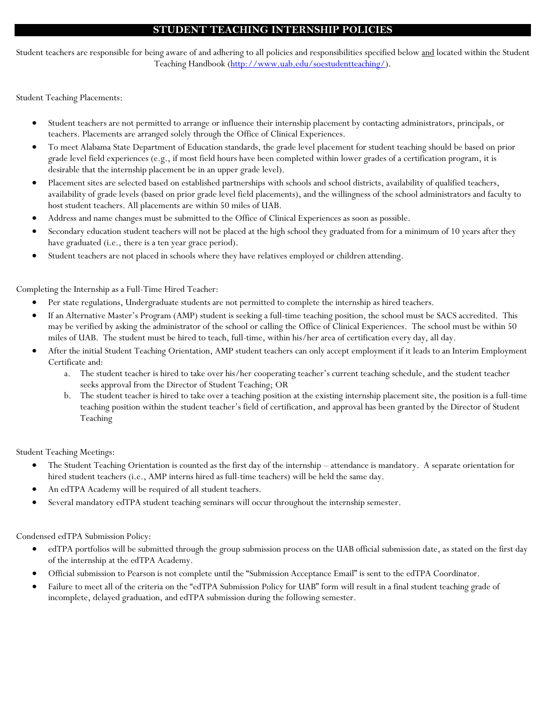### **STUDENT TEACHING INTERNSHIP POLICIES**

Student teachers are responsible for being aware of and adhering to all policies and responsibilities specified below and located within the Student Teaching Handbook [\(http://www.uab.edu/soestudentteaching/\)](http://www.uab.edu/soestudentteaching/).

Student Teaching Placements:

- Student teachers are not permitted to arrange or influence their internship placement by contacting administrators, principals, or teachers. Placements are arranged solely through the Office of Clinical Experiences.
- To meet Alabama State Department of Education standards, the grade level placement for student teaching should be based on prior grade level field experiences (e.g., if most field hours have been completed within lower grades of a certification program, it is desirable that the internship placement be in an upper grade level).
- Placement sites are selected based on established partnerships with schools and school districts, availability of qualified teachers, availability of grade levels (based on prior grade level field placements), and the willingness of the school administrators and faculty to host student teachers. All placements are within 50 miles of UAB.
- Address and name changes must be submitted to the Office of Clinical Experiences as soon as possible.
- Secondary education student teachers will not be placed at the high school they graduated from for a minimum of 10 years after they have graduated (i.e., there is a ten year grace period).
- Student teachers are not placed in schools where they have relatives employed or children attending.

Completing the Internship as a Full-Time Hired Teacher:

- Per state regulations, Undergraduate students are not permitted to complete the internship as hired teachers.
- If an Alternative Master's Program (AMP) student is seeking a full-time teaching position, the school must be SACS accredited. This may be verified by asking the administrator of the school or calling the Office of Clinical Experiences. The school must be within 50 miles of UAB. The student must be hired to teach, full-time, within his/her area of certification every day, all day.
- After the initial Student Teaching Orientation, AMP student teachers can only accept employment if it leads to an Interim Employment Certificate and:
	- a. The student teacher is hired to take over his/her cooperating teacher's current teaching schedule, and the student teacher seeks approval from the Director of Student Teaching; OR
	- b. The student teacher is hired to take over a teaching position at the existing internship placement site, the position is a full-time teaching position within the student teacher's field of certification, and approval has been granted by the Director of Student Teaching

Student Teaching Meetings:

- The Student Teaching Orientation is counted as the first day of the internship attendance is mandatory. A separate orientation for hired student teachers (i.e., AMP interns hired as full-time teachers) will be held the same day.
- An edTPA Academy will be required of all student teachers.
- Several mandatory edTPA student teaching seminars will occur throughout the internship semester.

Condensed edTPA Submission Policy:

- edTPA portfolios will be submitted through the group submission process on the UAB official submission date, as stated on the first day of the internship at the edTPA Academy.
- Official submission to Pearson is not complete until the "Submission Acceptance Email" is sent to the edTPA Coordinator.
- Failure to meet all of the criteria on the "edTPA Submission Policy for UAB" form will result in a final student teaching grade of incomplete, delayed graduation, and edTPA submission during the following semester.